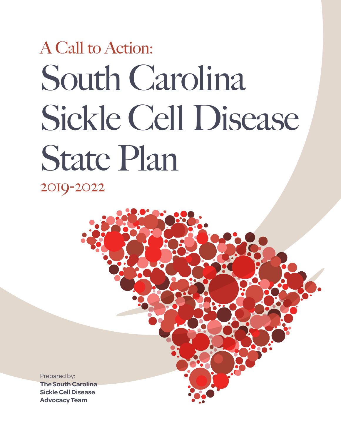# South Carolina Sickle Cell Disease State Plan A Call to Action: 2019-2022

Prepared by: **The South Carolina Sickle Cell Disease Advocacy Team**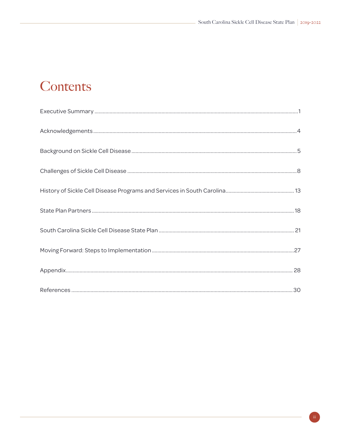### Contents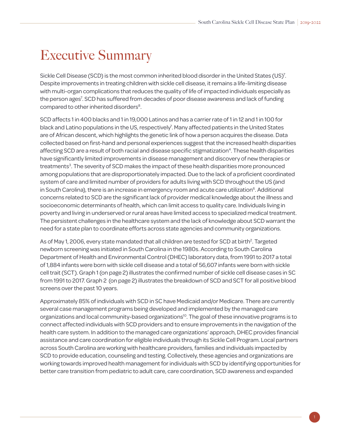# <span id="page-4-0"></span>Executive Summary

Sickle Cell Disease (SCD) is the most common inherited blood disorder in the United States (US)<sup>7</sup>. Despite improvements in treating children with sickle cell disease, it remains a life-limiting disease with multi-organ complications that reduces the quality of life of impacted individuals especially as the person ages<sup>7</sup>. SCD has suffered from decades of poor disease awareness and lack of funding compared to other inherited disorders<sup>8</sup>.

SCD affects 1 in 400 blacks and 1 in 19,000 Latinos and has a carrier rate of 1 in 12 and 1 in 100 for black and Latino populations in the US, respectively<sup>7</sup>. Many affected patients in the United States are of African descent, which highlights the genetic link of how a person acquires the disease. Data collected based on first-hand and personal experiences suggest that the increased health disparities affecting SCD are a result of both racial and disease specific stigmatization<sup>4</sup>. These health disparities have significantly limited improvements in disease management and discovery of new therapies or treatments<sup>3</sup>. The severity of SCD makes the impact of these health disparities more pronounced among populations that are disproportionately impacted. Due to the lack of a proficient coordinated system of care and limited number of providers for adults living with SCD throughout the US (and in South Carolina), there is an increase in emergency room and acute care utilization<sup>6</sup>. Additional concerns related to SCD are the significant lack of provider medical knowledge about the illness and socioeconomic determinants of health, which can limit access to quality care. Individuals living in poverty and living in underserved or rural areas have limited access to specialized medical treatment. The persistent challenges in the healthcare system and the lack of knowledge about SCD warrant the need for a state plan to coordinate efforts across state agencies and community organizations.

As of May 1, 2006, every state mandated that all children are tested for SCD at birth<sup>2</sup>. Targeted newborn screening was initiated in South Carolina in the 1980s. According to South Carolina Department of Health and Environmental Control (DHEC) laboratory data, from 1991 to 2017 a total of 1,884 infants were born with sickle cell disease and a total of 56,607 infants were born with sickle cell trait (SCT). Graph 1 (on page 2) illustrates the confirmed number of sickle cell disease cases in SC from 1991 to 2017. Graph 2 (on page 2) illustrates the breakdown of SCD and SCT for all positive blood screens over the past 10 years.

Approximately 85% of individuals with SCD in SC have Medicaid and/or Medicare. There are currently several case management programs being developed and implemented by the managed care organizations and local community-based organizations<sup>10</sup>. The goal of these innovative programs is to connect affected individuals with SCD providers and to ensure improvements in the navigation of the health care system. In addition to the managed care organizations' approach, DHEC provides financial assistance and care coordination for eligible individuals through its Sickle Cell Program. Local partners across South Carolina are working with healthcare providers, families and individuals impacted by SCD to provide education, counseling and testing. Collectively, these agencies and organizations are working towards improved health management for individuals with SCD by identifying opportunities for better care transition from pediatric to adult care, care coordination, SCD awareness and expanded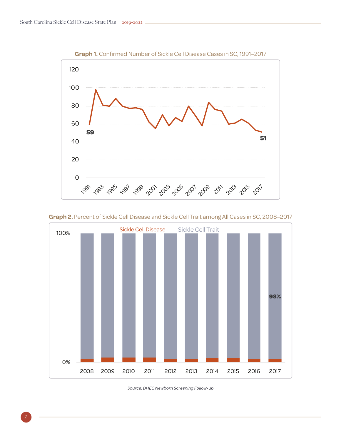

**Graph 1.** Confirmed Number of Sickle Cell Disease Cases in SC, 1991–2017

Graph 2. Percent of Sickle Cell Disease and SickleCell Trait among All Cases in SC, 2008-2017 **Graph 2.** Percent of Sickle Cell Disease and Sickle Cell Trait among All Cases in SC, 2008–2017  $\mathcal{L}(\mathcal{L}(\mathcal{L}(\mathcal{L}(\mathcal{L}(\mathcal{L}(\mathcal{L}(\mathcal{L}(\mathcal{L}(\mathcal{L}(\mathcal{L}(\mathcal{L}(\mathcal{L}(\mathcal{L}(\mathcal{L}(\mathcal{L}(\mathcal{L}(\mathcal{L}(\mathcal{L}(\mathcal{L}(\mathcal{L}(\mathcal{L}(\mathcal{L}(\mathcal{L}(\mathcal{L}(\mathcal{L}(\mathcal{L}(\mathcal{L}(\mathcal{L}(\mathcal{L}(\mathcal{L}(\mathcal{L}(\mathcal{L}(\mathcal{L}(\mathcal{L}(\mathcal{L}(\mathcal{$ 



*Source: DHEC Newborn Screening Follow-up*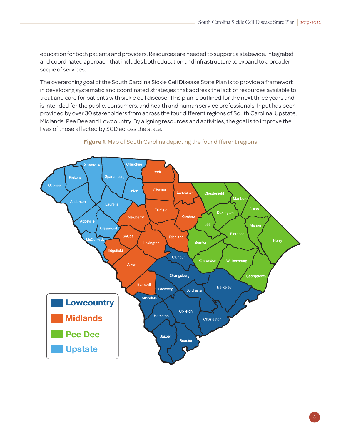education for both patients and providers. Resources are needed to support a statewide, integrated and coordinated approach that includes both education and infrastructure to expand to a broader scope of services.

The overarching goal of the South Carolina Sickle Cell Disease State Plan is to provide a framework in developing systematic and coordinated strategies that address the lack of resources available to treat and care for patients with sickle cell disease. This plan is outlined for the next three years and is intended for the public, consumers, and health and human service professionals. Input has been provided by over 30 stakeholders from across the four different regions of South Carolina: Upstate, Midlands, Pee Dee and Lowcountry. By aligning resources and activities, the goal is to improve the lives of those affected by SCD across the state.

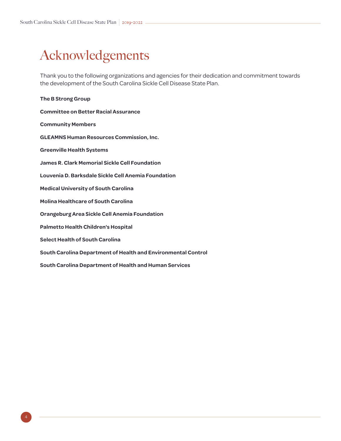# <span id="page-7-0"></span>Acknowledgements

Thank you to the following organizations and agencies for their dedication and commitment towards the development of the South Carolina Sickle Cell Disease State Plan.

| The B Strong Group                                            |
|---------------------------------------------------------------|
| <b>Committee on Better Racial Assurance</b>                   |
| <b>Community Members</b>                                      |
| <b>GLEAMNS Human Resources Commission, Inc.</b>               |
| <b>Greenville Health Systems</b>                              |
| <b>James R. Clark Memorial Sickle Cell Foundation</b>         |
| Louvenia D. Barksdale Sickle Cell Anemia Foundation           |
| <b>Medical University of South Carolina</b>                   |
| <b>Molina Healthcare of South Carolina</b>                    |
| <b>Orangeburg Area Sickle Cell Anemia Foundation</b>          |
| <b>Palmetto Health Children's Hospital</b>                    |
| <b>Select Health of South Carolina</b>                        |
| South Carolina Department of Health and Environmental Control |
| South Carolina Department of Health and Human Services        |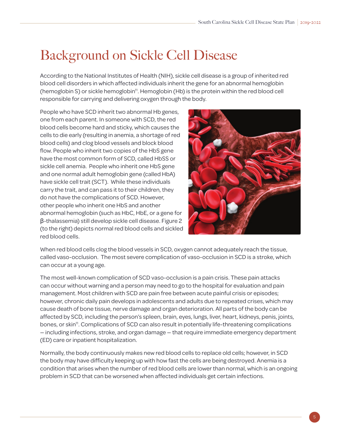# <span id="page-8-0"></span>Background on Sickle Cell Disease

According to the National Institutes of Health (NIH), sickle cell disease is a group of inherited red blood cell disorders in which affected individuals inherit the gene for an abnormal hemoglobin (hemoglobin S) or sickle hemoglobin11. Hemoglobin (Hb) is the protein within the red blood cell responsible for carrying and delivering oxygen through the body.

People who have SCD inherit two abnormal Hb genes, one from each parent. In someone with SCD, the red blood cells become hard and sticky, which causes the cells to die early (resulting in anemia, a shortage of red blood cells) and clog blood vessels and block blood flow. People who inherit two copies of the HbS gene have the most common form of SCD, called HbSS or sickle cell anemia. People who inherit one HbS gene and one normal adult hemoglobin gene (called HbA) have sickle cell trait (SCT). While these individuals carry the trait, and can pass it to their children, they do not have the complications of SCD. However, other people who inherit one HbS and another abnormal hemoglobin (such as HbC, HbE, or a gene for β-thalassemia) still develop sickle cell disease. Figure 2 (to the right) depicts normal red blood cells and sickled red blood cells.



When red blood cells clog the blood vessels in SCD, oxygen cannot adequately reach the tissue, called vaso-occlusion. The most severe complication of vaso-occlusion in SCD is a stroke, which can occur at a young age.

The most well-known complication of SCD vaso-occlusion is a pain crisis. These pain attacks can occur without warning and a person may need to go to the hospital for evaluation and pain management. Most children with SCD are pain free between acute painful crisis or episodes; however, chronic daily pain develops in adolescents and adults due to repeated crises, which may cause death of bone tissue, nerve damage and organ deterioration. All parts of the body can be affected by SCD, including the person's spleen, brain, eyes, lungs, liver, heart, kidneys, penis, joints, bones, or skin<sup>11</sup>. Complications of SCD can also result in potentially life-threatening complications — including infections, stroke, and organ damage — that require immediate emergency department (ED) care or inpatient hospitalization.

Normally, the body continuously makes new red blood cells to replace old cells; however, in SCD the body may have difficulty keeping up with how fast the cells are being destroyed. Anemia is a condition that arises when the number of red blood cells are lower than normal, which is an ongoing problem in SCD that can be worsened when affected individuals get certain infections.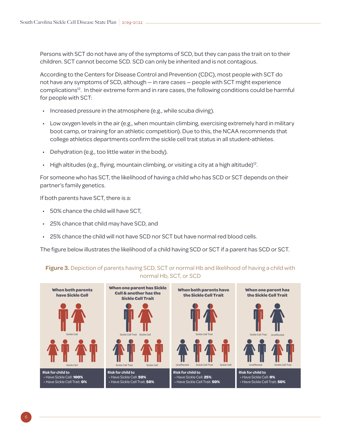Persons with SCT do not have any of the symptoms of SCD, but they can pass the trait on to their children. SCT cannot become SCD. SCD can only be inherited and is not contagious.

According to the Centers for Disease Control and Prevention (CDC), most people with SCT do not have any symptoms of SCD, although — in rare cases — people with SCT might experience complications<sup>12</sup>. In their extreme form and in rare cases, the following conditions could be harmful for people with SCT:

- Increased pressure in the atmosphere (e.g., while scuba diving).
- Low oxygen levels in the air (e.g., when mountain climbing, exercising extremely hard in military boot camp, or training for an athletic competition). Due to this, the NCAA recommends that college athletics departments confirm the sickle cell trait status in all student-athletes.
- Dehydration (e.g., too little water in the body).
- High altitudes (e.g., flying, mountain climbing, or visiting a city at a high altitude)<sup>12</sup>.

For someone who has SCT, the likelihood of having a child who has SCD or SCT depends on their partner's family genetics.

If both parents have SCT, there is a:

- 50% chance the child will have SCT,
- 25% chance that child may have SCD, and
- 25% chance the child will not have SCD nor SCT but have normal red blood cells.

The figure below illustrates the likelihood of a child having SCD or SCT if a parent has SCD or SCT.

#### **When both parents have Sickle Cell Risk for child to** • Have Sickle Cell: **100%** • Have Sickle Cell Trait: **0%** Sickle Cell Sickle Cell **When one parent has Sickle Cell & another has the Sickle Cell Trait Risk for child to** • Have Sickle Cell: **50%** • Have Sickle Cell Trait: **50%** Sickle Cell Trait Sickle Cell Trait Sickle Cell **When both parents have the Sickle Cell Trait Risk for child to** • Have Sickle Cell: **25%** • Have Sickle Cell Trait: **50%** Unaffected Sickle Cell Trait Sickle Cell Sickle Cell Trait **When one parent has the Sickle Cell Trait Risk for child to** • Have Sickle Cell: **0%** • Have Sickle Cell Trait: **50%** Unaffected Sickle Cell Trait Sickle Cell Trait Unaffected

#### **Figure 3.** Depiction of parents having SCD, SCT or normal Hb and likelihood of having a child with normal Hb, SCT, or SCD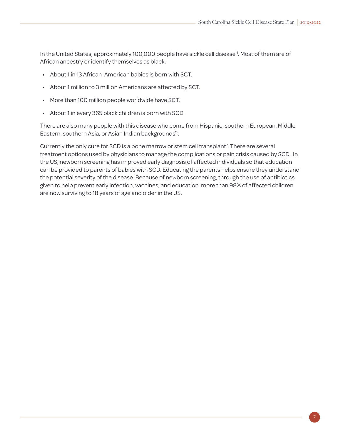In the United States, approximately 100,000 people have sickle cell disease<sup>11</sup>. Most of them are of African ancestry or identify themselves as black.

- About 1 in 13 African-American babies is born with SCT.
- About 1 million to 3 million Americans are affected by SCT.
- More than 100 million people worldwide have SCT.
- About 1 in every 365 black children is born with SCD.

There are also many people with this disease who come from Hispanic, southern European, Middle Eastern, southern Asia, or Asian Indian backgrounds<sup>11</sup>.

Currently the only cure for SCD is a bone marrow or stem cell transplant<sup>7</sup>. There are several treatment options used by physicians to manage the complications or pain crisis caused by SCD. In the US, newborn screening has improved early diagnosis of affected individuals so that education can be provided to parents of babies with SCD. Educating the parents helps ensure they understand the potential severity of the disease. Because of newborn screening, through the use of antibiotics given to help prevent early infection, vaccines, and education, more than 98% of affected children are now surviving to 18 years of age and older in the US.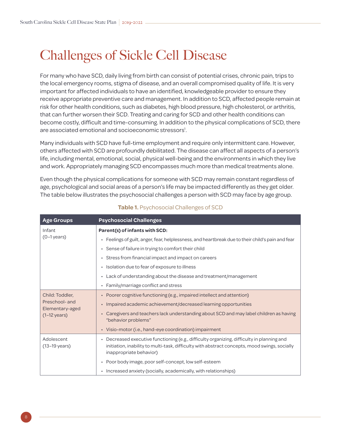# <span id="page-11-0"></span>Challenges of Sickle Cell Disease

For many who have SCD, daily living from birth can consist of potential crises, chronic pain, trips to the local emergency rooms, stigma of disease, and an overall compromised quality of life. It is very important for affected individuals to have an identified, knowledgeable provider to ensure they receive appropriate preventive care and management. In addition to SCD, affected people remain at risk for other health conditions, such as diabetes, high blood pressure, high cholesterol, or arthritis, that can further worsen their SCD. Treating and caring for SCD and other health conditions can become costly, difficult and time-consuming. In addition to the physical complications of SCD, there are associated emotional and socioeconomic stressors<sup>1</sup>.

Many individuals with SCD have full-time employment and require only intermittent care. However, others affected with SCD are profoundly debilitated. The disease can affect all aspects of a person's life, including mental, emotional, social, physical well-being and the environments in which they live and work. Appropriately managing SCD encompasses much more than medical treatments alone.

Even though the physical complications for someone with SCD may remain constant regardless of age, psychological and social areas of a person's life may be impacted differently as they get older. The table below illustrates the psychosocial challenges a person with SCD may face by age group.

| <b>Age Groups</b>                                           | <b>Psychosocial Challenges</b>                                                                                                                                                                                         |
|-------------------------------------------------------------|------------------------------------------------------------------------------------------------------------------------------------------------------------------------------------------------------------------------|
| Infant                                                      | Parent(s) of infants with SCD:                                                                                                                                                                                         |
| $(0-1)$ years)                                              | • Feelings of guilt, anger, fear, helplessness, and heartbreak due to their child's pain and fear                                                                                                                      |
|                                                             | • Sense of failure in trying to comfort their child                                                                                                                                                                    |
|                                                             | • Stress from financial impact and impact on careers                                                                                                                                                                   |
|                                                             | • Isolation due to fear of exposure to illness                                                                                                                                                                         |
|                                                             | • Lack of understanding about the disease and treatment/management                                                                                                                                                     |
|                                                             | • Family/marriage conflict and stress                                                                                                                                                                                  |
| Child: Toddler,                                             | • Poorer cognitive functioning (e.g., impaired intellect and attention)                                                                                                                                                |
| Preschool- and<br>Elementary-aged<br>$(1-12 \text{ years})$ | Impaired academic achievement/decreased learning opportunities                                                                                                                                                         |
|                                                             | • Caregivers and teachers lack understanding about SCD and may label children as having<br>"behavior problems"                                                                                                         |
|                                                             | • Visio-motor (i.e., hand-eye coordination) impairment                                                                                                                                                                 |
| Adolescent<br>$(13-19 \text{ years})$                       | • Decreased executive functioning (e.g., difficulty organizing, difficulty in planning and<br>initiation, inability to multi-task, difficulty with abstract concepts, mood swings, socially<br>inappropriate behavior) |
|                                                             | • Poor body image, poor self-concept, low self-esteem                                                                                                                                                                  |
|                                                             | • Increased anxiety (socially, academically, with relationships)                                                                                                                                                       |

#### **Table 1.** Psychosocial Challenges of SCD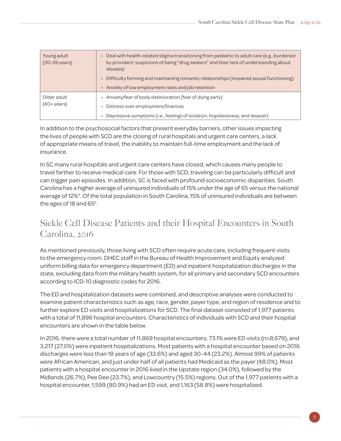| Young adult<br>(20-39 years)           | • Deal with health-related stigma transitioning from pediatric to adult care (e.g., burdened<br>by providers' suspicions of being "drug seekers" and their lack of understanding about<br>disease) |
|----------------------------------------|----------------------------------------------------------------------------------------------------------------------------------------------------------------------------------------------------|
|                                        | • Difficulty forming and maintaining romantic relationships (impaired sexual functioning)                                                                                                          |
|                                        | • Anxiety of low employment rates and job retention                                                                                                                                                |
| Older adult<br>$(40 + \mathrm{years})$ | • Anxiety/fear of body deterioration (fear of dying early)<br>Distress over employment/finances                                                                                                    |
|                                        | • Depressive symptoms (i.e., feelings of isolation, hopelessness, and despair)                                                                                                                     |

In addition to the psychosocial factors that present everyday barriers, other issues impacting the lives of people with SCD are the closing of rural hospitals and urgent care centers, a lack of appropriate means of travel, the inability to maintain full-time employment and the lack of insurance.

In SC many rural hospitals and urgent care centers have closed, which causes many people to travel farther to receive medical care. For those with SCD, traveling can be particularly difficult and can trigger pain episodes. In addition, SC is faced with profound socioeconomic disparities. South Carolina has a higher average of uninsured individuals of 15% under the age of 65 versus the national average of 12%<sup>5</sup>. Of the total population in South Carolina, 15% of uninsured individuals are between the ages of 18 and  $65<sup>5</sup>$ .

### Sickle Cell Disease Patients and their Hospital Encounters in South Carolina, 2016

As mentioned previously, those living with SCD often require acute care, including frequent visits to the emergency room. DHEC staff in the Bureau of Health Improvement and Equity analyzed uniform billing data for emergency department (ED) and inpatient hospitalization discharges in the state, excluding data from the military health system, for all primary and secondary SCD encounters according to ICD-10 diagnostic codes for 2016.

The ED and hospitalization datasets were combined, and descriptive analyses were conducted to examine patient characteristics such as age, race, gender, payer type, and region of residence and to further explore ED visits and hospitalizations for SCD. The final dataset consisted of 1,977 patients with a total of 11,896 hospital encounters. Characteristics of individuals with SCD and their hospital encounters are shown in the table below.

In 2016, there were a total number of 11,869 hospital encounters; 73.1% were ED visits (n=8,679), and 3,217 (27.0%) were inpatient hospitalizations. Most patients with a hospital encounter based on 2016 discharges were less than 18 years of age (33.6%) and aged 30-44 (23.2%). Almost 99% of patients were African American, and just under half of all patients had Medicaid as the payer (48.0%). Most patients with a hospital encounter in 2016 lived in the Upstate region (34.0%), followed by the Midlands (26.7%), Pee Dee (23.7%), and Lowcountry (15.5%) regions. Out of the 1,977 patients with a hospital encounter, 1,599 (80.9%) had an ED visit, and 1,163 (58.8%) were hospitalized.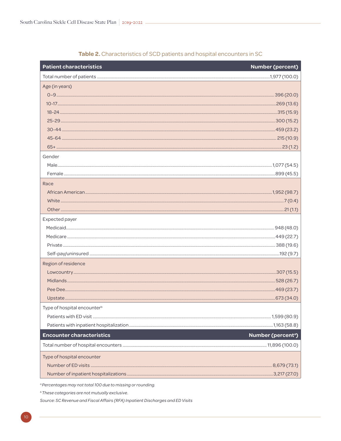| <b>Patient characteristics</b>          | <b>Number (percent)</b>  |
|-----------------------------------------|--------------------------|
|                                         |                          |
| Age (in years)                          |                          |
|                                         |                          |
|                                         |                          |
|                                         |                          |
|                                         |                          |
|                                         |                          |
|                                         |                          |
|                                         |                          |
| Gender                                  |                          |
|                                         |                          |
|                                         |                          |
| Race                                    |                          |
|                                         |                          |
|                                         |                          |
|                                         |                          |
| Expected payer                          |                          |
|                                         |                          |
|                                         |                          |
|                                         |                          |
|                                         |                          |
| Region of residence                     |                          |
|                                         |                          |
|                                         |                          |
|                                         |                          |
|                                         |                          |
| Type of hospital encounter <sup>b</sup> |                          |
|                                         |                          |
|                                         |                          |
| <b>Encounter characteristics</b>        | <b>Number (percenta)</b> |
|                                         |                          |
| Type of hospital encounter              |                          |
|                                         |                          |
|                                         |                          |

#### Table 2. Characteristics of SCD patients and hospital encounters in SC

<sup>a</sup> Percentages may not total 100 due to missing or rounding.

<sup>b</sup> These categories are not mutually exclusive.

Source: SC Revenue and Fiscal Affairs (RFA) Inpatient Discharges and ED Visits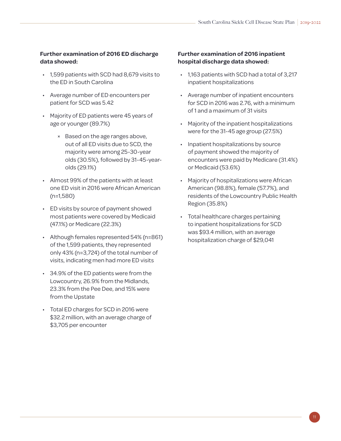#### **Further examination of 2016 ED discharge data showed:**

- 1,599 patients with SCD had 8,679 visits to the ED in South Carolina
- Average number of ED encounters per patient for SCD was 5.42
- Majority of ED patients were 45 years of age or younger (89.7%)
	- ✗ Based on the age ranges above, out of all ED visits due to SCD, the majority were among 25-30-year olds (30.5%), followed by 31-45-yearolds (29.1%)
- Almost 99% of the patients with at least one ED visit in 2016 were African American (n=1,580)
- ED visits by source of payment showed most patients were covered by Medicaid (47.1%) or Medicare (22.3%)
- Although females represented 54% (n=861) of the 1,599 patients, they represented only 43% (n=3,724) of the total number of visits, indicating men had more ED visits
- 34.9% of the ED patients were from the Lowcountry, 26.9% from the Midlands, 23.3% from the Pee Dee, and 15% were from the Upstate
- Total ED charges for SCD in 2016 were \$32.2 million, with an average charge of \$3,705 per encounter

#### **Further examination of 2016 inpatient hospital discharge data showed:**

- 1,163 patients with SCD had a total of 3,217 inpatient hospitalizations
- Average number of inpatient encounters for SCD in 2016 was 2.76, with a minimum of 1 and a maximum of 31 visits
- Majority of the inpatient hospitalizations were for the 31-45 age group (27.5%)
- Inpatient hospitalizations by source of payment showed the majority of encounters were paid by Medicare (31.4%) or Medicaid (53.6%)
- Majority of hospitalizations were African American (98.8%), female (57.7%), and residents of the Lowcountry Public Health Region (35.8%)
- Total healthcare charges pertaining to inpatient hospitalizations for SCD was \$93.4 million, with an average hospitalization charge of \$29,041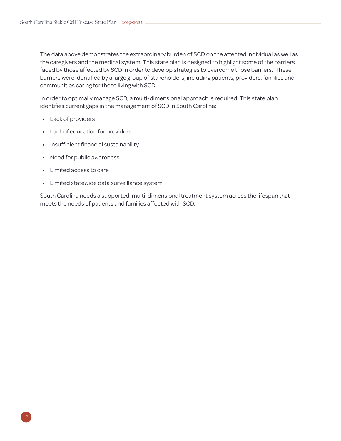The data above demonstrates the extraordinary burden of SCD on the affected individual as well as the caregivers and the medical system. This state plan is designed to highlight some of the barriers faced by those affected by SCD in order to develop strategies to overcome those barriers. These barriers were identified by a large group of stakeholders, including patients, providers, families and communities caring for those living with SCD.

In order to optimally manage SCD, a multi-dimensional approach is required. This state plan identifies current gaps in the management of SCD in South Carolina:

- Lack of providers
- Lack of education for providers
- Insufficient financial sustainability
- Need for public awareness
- Limited access to care
- Limited statewide data surveillance system

South Carolina needs a supported, multi-dimensional treatment system across the lifespan that meets the needs of patients and families affected with SCD.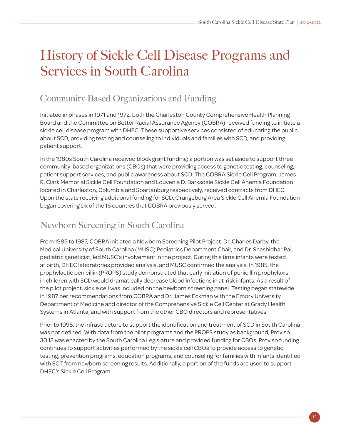# <span id="page-16-0"></span>History of Sickle Cell Disease Programs and Services in South Carolina

### Community-Based Organizations and Funding

Initiated in phases in 1971 and 1972, both the Charleston County Comprehensive Health Planning Board and the Committee on Better Racial Assurance Agency (COBRA) received funding to initiate a sickle cell disease program with DHEC. These supportive services consisted of educating the public about SCD, providing testing and counseling to individuals and families with SCD, and providing patient support.

In the 1980s South Carolina received block grant funding; a portion was set aside to support three community-based organizations (CBOs) that were providing access to genetic testing, counseling, patient support services, and public awareness about SCD. The COBRA Sickle Cell Program, James R. Clark Memorial Sickle Cell Foundation and Louvenia D. Barksdale Sickle Cell Anemia Foundation located in Charleston, Columbia and Spartanburg respectively, received contracts from DHEC. Upon the state receiving additional funding for SCD, Orangeburg Area Sickle Cell Anemia Foundation began covering six of the 16 counties that COBRA previously served.

### Newborn Screening in South Carolina

From 1985 to 1987, COBRA initiated a Newborn Screening Pilot Project. Dr. Charles Darby, the Medical University of South Carolina (MUSC) Pediatrics Department Chair, and Dr. Shashidhar Pai, pediatric geneticist, led MUSC's involvement in the project. During this time infants were tested at birth, DHEC laboratories provided analysis, and MUSC confirmed the analysis. In 1985, the prophylactic penicillin (PROPS) study demonstrated that early initiation of penicillin prophylaxis in children with SCD would dramatically decrease blood infections in at-risk infants. As a result of the pilot project, sickle cell was included on the newborn screening panel. Testing began statewide in 1987 per recommendations from COBRA and Dr. James Eckman with the Emory University Department of Medicine and director of the Comprehensive Sickle Cell Center at Grady Health Systems in Atlanta, and with support from the other CBO directors and representatives.

Prior to 1995, the infrastructure to support the identification and treatment of SCD in South Carolina was not defined. With data from the pilot programs and the PROPS study as background, Proviso 30.13 was enacted by the South Carolina Legislature and provided funding for CBOs. Proviso funding continues to support activities performed by the sickle cell CBOs to provide access to genetic testing, prevention programs, education programs, and counseling for families with infants identified with SCT from newborn screening results. Additionally, a portion of the funds are used to support DHEC's Sickle Cell Program.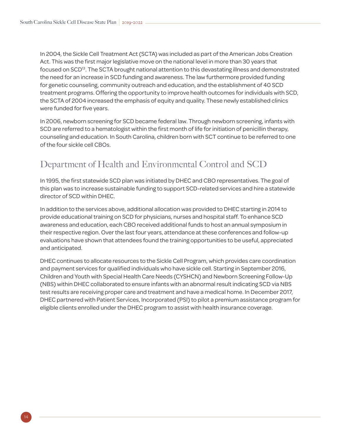In 2004, the Sickle Cell Treatment Act (SCTA) was included as part of the American Jobs Creation Act. This was the first major legislative move on the national level in more than 30 years that focused on SCD<sup>13</sup>. The SCTA brought national attention to this devastating illness and demonstrated the need for an increase in SCD funding and awareness. The law furthermore provided funding for genetic counseling, community outreach and education, and the establishment of 40 SCD treatment programs. Offering the opportunity to improve health outcomes for individuals with SCD, the SCTA of 2004 increased the emphasis of equity and quality. These newly established clinics were funded for five years.

In 2006, newborn screening for SCD became federal law. Through newborn screening, infants with SCD are referred to a hematologist within the first month of life for initiation of penicillin therapy, counseling and education. In South Carolina, children born with SCT continue to be referred to one of the four sickle cell CBOs.

### Department of Health and Environmental Control and SCD

In 1995, the first statewide SCD plan was initiated by DHEC and CBO representatives. The goal of this plan was to increase sustainable funding to support SCD-related services and hire a statewide director of SCD within DHEC.

In addition to the services above, additional allocation was provided to DHEC starting in 2014 to provide educational training on SCD for physicians, nurses and hospital staff. To enhance SCD awareness and education, each CBO received additional funds to host an annual symposium in their respective region. Over the last four years, attendance at these conferences and follow-up evaluations have shown that attendees found the training opportunities to be useful, appreciated and anticipated.

DHEC continues to allocate resources to the Sickle Cell Program, which provides care coordination and payment services for qualified individuals who have sickle cell. Starting in September 2016, Children and Youth with Special Health Care Needs (CYSHCN) and Newborn Screening Follow-Up (NBS) within DHEC collaborated to ensure infants with an abnormal result indicating SCD via NBS test results are receiving proper care and treatment and have a medical home. In December 2017, DHEC partnered with Patient Services, Incorporated (PSI) to pilot a premium assistance program for eligible clients enrolled under the DHEC program to assist with health insurance coverage.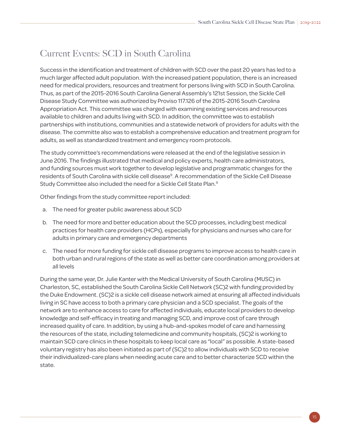### Current Events: SCD in South Carolina

Success in the identification and treatment of children with SCD over the past 20 years has led to a much larger affected adult population. With the increased patient population, there is an increased need for medical providers, resources and treatment for persons living with SCD in South Carolina. Thus, as part of the 2015-2016 South Carolina General Assembly's 121st Session, the Sickle Cell Disease Study Committee was authorized by Proviso 117.126 of the 2015-2016 South Carolina Appropriation Act. This committee was charged with examining existing services and resources available to children and adults living with SCD. In addition, the committee was to establish partnerships with institutions, communities and a statewide network of providers for adults with the disease. The committe also was to establish a comprehensive education and treatment program for adults, as well as standardized treatment and emergency room protocols.

The study committee's recommendations were released at the end of the legislative session in June 2016. The findings illustrated that medical and policy experts, health care administrators, and funding sources must work together to develop legislative and programmatic changes for the residents of South Carolina with sickle cell disease<sup>9</sup>. A recommendation of the Sickle Cell Disease Study Committee also included the need for a Sickle Cell State Plan.<sup>9</sup>

Other findings from the study committee report included:

- a. The need for greater public awareness about SCD
- b. The need for more and better education about the SCD processes, including best medical practices for health care providers (HCPs), especially for physicians and nurses who care for adults in primary care and emergency departments
- c. The need for more funding for sickle cell disease programs to improve access to health care in both urban and rural regions of the state as well as better care coordination among providers at all levels

During the same year, Dr. Julie Kanter with the Medical University of South Carolina (MUSC) in Charleston, SC, established the South Carolina Sickle Cell Network (SC)2 with funding provided by the Duke Endowment. (SC)2 is a sickle cell disease network aimed at ensuring all affected individuals living in SC have access to both a primary care physician and a SCD specialist. The goals of the network are to enhance access to care for affected individuals, educate local providers to develop knowledge and self-efficacy in treating and managing SCD, and improve cost of care through increased quality of care. In addition, by using a hub-and-spokes model of care and harnessing the resources of the state, including telemedicine and community hospitals, (SC)2 is working to maintain SCD care clinics in these hospitals to keep local care as "local" as possible. A state-based voluntary registry has also been initiated as part of (SC)2 to allow individuals with SCD to receive their individualized-care plans when needing acute care and to better characterize SCD within the state.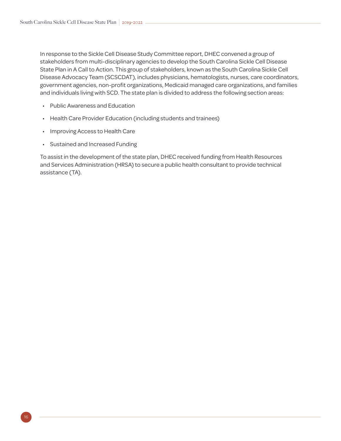In response to the Sickle Cell Disease Study Committee report, DHEC convened a group of stakeholders from multi-disciplinary agencies to develop the South Carolina Sickle Cell Disease State Plan in A Call to Action. This group of stakeholders, known as the South Carolina Sickle Cell Disease Advocacy Team (SCSCDAT), includes physicians, hematologists, nurses, care coordinators, government agencies, non-profit organizations, Medicaid managed care organizations, and families and individuals living with SCD. The state plan is divided to address the following section areas:

- Public Awareness and Education
- Health Care Provider Education (including students and trainees)
- Improving Access to Health Care
- Sustained and Increased Funding

To assist in the development of the state plan, DHEC received funding from Health Resources and Services Administration (HRSA) to secure a public health consultant to provide technical assistance (TA).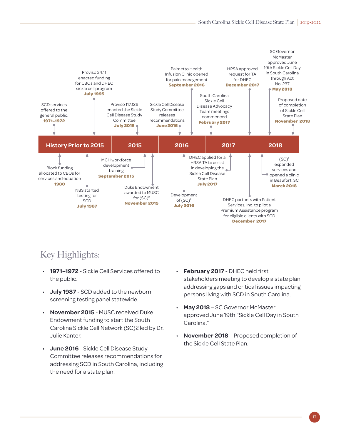

### Key Highlights:

- **1971–1972** Sickle Cell Services offered to the public.
- **July 1987** SCD added to the newborn screening testing panel statewide.
- **November 2015** MUSC received Duke Endowment funding to start the South Carolina Sickle Cell Network (SC)2 led by Dr. Julie Kanter.
- **June 2016** Sickle Cell Disease Study Committee releases recommendations for addressing SCD in South Carolina, including the need for a state plan.
- **February 2017** DHEC held first stakeholders meeting to develop a state plan addressing gaps and critical issues impacting persons living with SCD in South Carolina.
- **May 2018** SC Governor McMaster approved June 19th "Sickle Cell Day in South Carolina."
- **November 2018** Proposed completion of the Sickle Cell State Plan.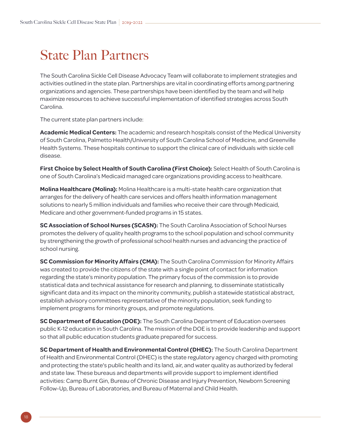### <span id="page-21-0"></span>State Plan Partners

The South Carolina Sickle Cell Disease Advocacy Team will collaborate to implement strategies and activities outlined in the state plan. Partnerships are vital in coordinating efforts among partnering organizations and agencies. These partnerships have been identified by the team and will help maximize resources to achieve successful implementation of identified strategies across South Carolina.

The current state plan partners include:

**Academic Medical Centers:** The academic and research hospitals consist of the Medical University of South Carolina, Palmetto Health/University of South Carolina School of Medicine, and Greenville Health Systems. These hospitals continue to support the clinical care of individuals with sickle cell disease.

**First Choice by Select Health of South Carolina (First Choice):** Select Health of South Carolina is one of South Carolina's Medicaid managed care organizations providing access to healthcare.

**Molina Healthcare (Molina):** Molina Healthcare is a multi-state health care organization that arranges for the delivery of health care services and offers health information management solutions to nearly 5 million individuals and families who receive their care through Medicaid, Medicare and other government-funded programs in 15 states.

**SC Association of School Nurses (SCASN):** The South Carolina Association of School Nurses promotes the delivery of quality health programs to the school population and school community by strengthening the growth of professional school health nurses and advancing the practice of school nursing.

**SC Commission for Minority Affairs (CMA):** The South Carolina Commission for Minority Affairs was created to provide the citizens of the state with a single point of contact for information regarding the state's minority population. The primary focus of the commission is to provide statistical data and technical assistance for research and planning, to disseminate statistically significant data and its impact on the minority community, publish a statewide statistical abstract, establish advisory committees representative of the minority population, seek funding to implement programs for minority groups, and promote regulations.

**SC Department of Education (DOE):** The South Carolina Department of Education oversees public K-12 education in South Carolina. The mission of the DOE is to provide leadership and support so that all public education students graduate prepared for success.

**SC Department of Health and Environmental Control (DHEC):** The South Carolina Department of Health and Environmental Control (DHEC) is the state regulatory agency charged with promoting and protecting the state's public health and its land, air, and water quality as authorized by federal and state law. These bureaus and departments will provide support to implement identified activities: Camp Burnt Gin, Bureau of Chronic Disease and Injury Prevention, Newborn Screening Follow-Up, Bureau of Laboratories, and Bureau of Maternal and Child Health.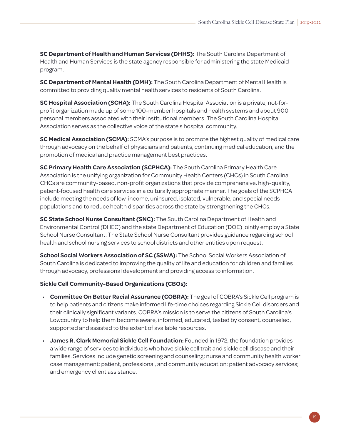**SC Department of Health and Human Services (DHHS):** The South Carolina Department of Health and Human Services is the state agency responsible for administering the state Medicaid program.

**SC Department of Mental Health (DMH):** The South Carolina Department of Mental Health is committed to providing quality mental health services to residents of South Carolina.

**SC Hospital Association (SCHA):** The South Carolina Hospital Association is a private, not-forprofit organization made up of some 100-member hospitals and health systems and about 900 personal members associated with their institutional members. The South Carolina Hospital Association serves as the collective voice of the state's hospital community.

**SC Medical Association (SCMA):** SCMA's purpose is to promote the highest quality of medical care through advocacy on the behalf of physicians and patients, continuing medical education, and the promotion of medical and practice management best practices.

**SC Primary Health Care Association (SCPHCA):** The South Carolina Primary Health Care Association is the unifying organization for Community Health Centers (CHCs) in South Carolina. CHCs are community-based, non-profit organizations that provide comprehensive, high-quality, patient-focused health care services in a culturally appropriate manner. The goals of the SCPHCA include meeting the needs of low-income, uninsured, isolated, vulnerable, and special needs populations and to reduce health disparities across the state by strengthening the CHCs.

**SC State School Nurse Consultant (SNC):** The South Carolina Department of Health and Environmental Control (DHEC) and the state Department of Education (DOE) jointly employ a State School Nurse Consultant. The State School Nurse Consultant provides guidance regarding school health and school nursing services to school districts and other entities upon request.

**School Social Workers Association of SC (SSWA):** The School Social Workers Association of South Carolina is dedicated to improving the quality of life and education for children and families through advocacy, professional development and providing access to information.

#### **Sickle Cell Community-Based Organizations (CBOs):**

- **Committee On Better Racial Assurance (COBRA):** The goal of COBRA's Sickle Cell program is to help patients and citizens make informed life-time choices regarding Sickle Cell disorders and their clinically significant variants. COBRA's mission is to serve the citizens of South Carolina's Lowcountry to help them become aware, informed, educated, tested by consent, counseled, supported and assisted to the extent of available resources.
- **James R. Clark Memorial Sickle Cell Foundation:** Founded in 1972, the foundation provides a wide range of services to individuals who have sickle cell trait and sickle cell disease and their families. Services include genetic screening and counseling; nurse and community health worker case management; patient, professional, and community education; patient advocacy services; and emergency client assistance.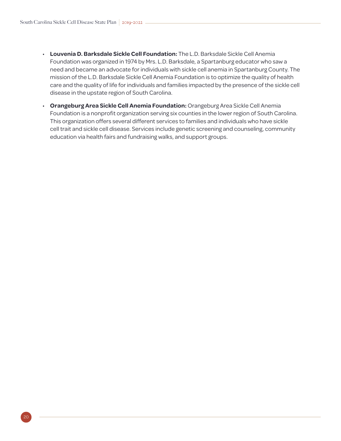- **Louvenia D. Barksdale Sickle Cell Foundation:** The L.D. Barksdale Sickle Cell Anemia Foundation was organized in 1974 by Mrs. L.D. Barksdale, a Spartanburg educator who saw a need and became an advocate for individuals with sickle cell anemia in Spartanburg County. The mission of the L.D. Barksdale Sickle Cell Anemia Foundation is to optimize the quality of health care and the quality of life for individuals and families impacted by the presence of the sickle cell disease in the upstate region of South Carolina.
- **Orangeburg Area Sickle Cell Anemia Foundation:** Orangeburg Area Sickle Cell Anemia Foundation is a nonprofit organization serving six counties in the lower region of South Carolina. This organization offers several different services to families and individuals who have sickle cell trait and sickle cell disease. Services include genetic screening and counseling, community education via health fairs and fundraising walks, and support groups.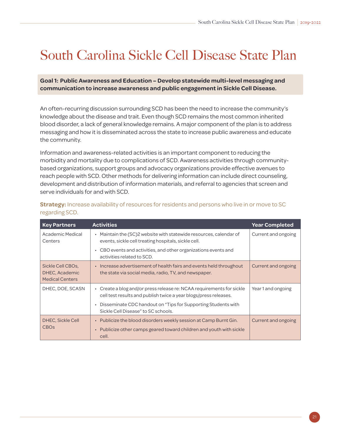# <span id="page-24-0"></span>South Carolina Sickle Cell Disease State Plan

**Goal 1: Public Awareness and Education – Develop statewide multi-level messaging and communication to increase awareness and public engagement in Sickle Cell Disease.** 

An often-recurring discussion surrounding SCD has been the need to increase the community's knowledge about the disease and trait. Even though SCD remains the most common inherited blood disorder, a lack of general knowledge remains. A major component of the plan is to address messaging and how it is disseminated across the state to increase public awareness and educate the community.

Information and awareness-related activities is an important component to reducing the morbidity and mortality due to complications of SCD. Awareness activities through communitybased organizations, support groups and advocacy organizations provide effective avenues to reach people with SCD. Other methods for delivering information can include direct counseling, development and distribution of information materials, and referral to agencies that screen and serve individuals for and with SCD.

| <b>Key Partners</b>                                           | <b>Activities</b>                                                                                                                                | <b>Year Completed</b> |
|---------------------------------------------------------------|--------------------------------------------------------------------------------------------------------------------------------------------------|-----------------------|
| Academic Medical<br>Centers                                   | Maintain the (SC)2 website with statewide resources, calendar of<br>$\bullet$<br>events, sickle cell treating hospitals, sickle cell.            | Current and ongoing   |
|                                                               | • CBO events and activities, and other organizations events and<br>activities related to SCD.                                                    |                       |
| Sickle Cell CBOs,<br>DHEC, Academic<br><b>Medical Centers</b> | • Increase advertisement of health fairs and events held throughout<br>the state via social media, radio, TV, and newspaper.                     | Current and ongoing   |
| DHEC, DOE, SCASN                                              | • Create a blog and/or press release re: NCAA requirements for sickle<br>cell test results and publish twice a year blogs/press releases.        | Year 1 and ongoing    |
|                                                               | Disseminate CDC handout on "Tips for Supporting Students with<br>Sickle Cell Disease" to SC schools.                                             |                       |
| <b>DHEC, Sickle Cell</b><br><b>CBOs</b>                       | • Publicize the blood disorders weekly session at Camp Burnt Gin.<br>Publicize other camps geared toward children and youth with sickle<br>cell. | Current and ongoing   |

| Strategy: Increase availability of resources for residents and persons who live in or move to SC |  |  |  |
|--------------------------------------------------------------------------------------------------|--|--|--|
| regarding SCD.                                                                                   |  |  |  |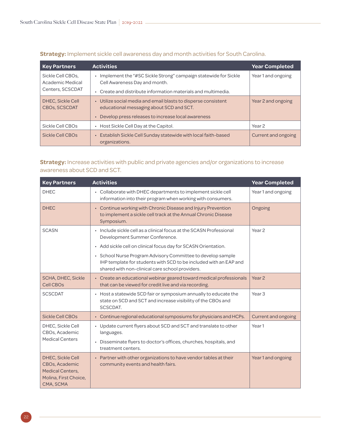| <b>Key Partners</b>                                       | <b>Activities</b>                                                                                                                                                           | <b>Year Completed</b> |
|-----------------------------------------------------------|-----------------------------------------------------------------------------------------------------------------------------------------------------------------------------|-----------------------|
| Sickle Cell CBOs.<br>Academic Medical<br>Centers, SCSCDAT | Implement the "#SC Sickle Strong" campaign statewide for Sickle<br>Cell Awareness Day and month.<br>Create and distribute information materials and multimedia.             | Year 1 and ongoing    |
| DHEC, Sickle Cell<br><b>CBOs, SCSCDAT</b>                 | Utilize social media and email blasts to disperse consistent<br>$\bullet$<br>educational messaging about SCD and SCT.<br>Develop press releases to increase local awareness | Year 2 and ongoing    |
| Sickle Cell CBOs                                          | • Host Sickle Cell Day at the Capitol.                                                                                                                                      | Year <sub>2</sub>     |
| Sickle Cell CBOs                                          | Establish Sickle Cell Sunday statewide with local faith-based<br>organizations.                                                                                             | Current and ongoing   |

#### **Strategy:** Implement sickle cell awareness day and month activities for South Carolina.

#### **Strategy:** Increase activities with public and private agencies and/or organizations to increase awareness about SCD and SCT.

| <b>Key Partners</b>                                                                                         | <b>Activities</b>                                                                                                                                                                   | <b>Year Completed</b>      |
|-------------------------------------------------------------------------------------------------------------|-------------------------------------------------------------------------------------------------------------------------------------------------------------------------------------|----------------------------|
| <b>DHEC</b>                                                                                                 | • Collaborate with DHEC departments to implement sickle cell<br>information into their program when working with consumers.                                                         | Year 1 and ongoing         |
| <b>DHEC</b>                                                                                                 | • Continue working with Chronic Disease and Injury Prevention<br>to implement a sickle cell track at the Annual Chronic Disease<br>Symposium.                                       | Ongoing                    |
| <b>SCASN</b>                                                                                                | • Include sickle cell as a clinical focus at the SCASN Professional<br>Development Summer Conference.                                                                               | Year <sub>2</sub>          |
|                                                                                                             | • Add sickle cell on clinical focus day for SCASN Orientation.                                                                                                                      |                            |
|                                                                                                             | • School Nurse Program Advisory Committee to develop sample<br>IHP template for students with SCD to be included with an EAP and<br>shared with non-clinical care school providers. |                            |
| SCHA, DHEC, Sickle<br><b>Cell CBOs</b>                                                                      | • Create an educational webinar geared toward medical professionals<br>that can be viewed for credit live and via recording.                                                        | Year <sub>2</sub>          |
| <b>SCSCDAT</b>                                                                                              | • Host a statewide SCD fair or symposium annually to educate the<br>state on SCD and SCT and increase visibility of the CBOs and<br>SCSCDAT.                                        | Year <sub>3</sub>          |
| <b>Sickle Cell CBOs</b>                                                                                     | • Continue regional educational symposiums for physicians and HCPs.                                                                                                                 | <b>Current and ongoing</b> |
| DHEC, Sickle Cell<br>CBOs, Academic                                                                         | • Update current flyers about SCD and SCT and translate to other<br>languages.                                                                                                      | Year1                      |
| <b>Medical Centers</b>                                                                                      | • Disseminate flyers to doctor's offices, churches, hospitals, and<br>treatment centers.                                                                                            |                            |
| <b>DHEC, Sickle Cell</b><br>CBOs, Academic<br><b>Medical Centers,</b><br>Molina, First Choice,<br>CMA, SCMA | • Partner with other organizations to have vendor tables at their<br>community events and health fairs.                                                                             | Year 1 and ongoing         |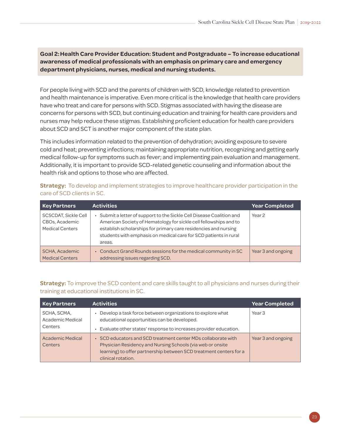**Goal 2:Health Care Provider Education: Student and Postgraduate – To increase educational awareness of medical professionals with an emphasis on primary care and emergency department physicians, nurses, medical and nursing students.** 

For people living with SCD and the parents of children with SCD, knowledge related to prevention and health maintenance is imperative. Even more critical is the knowledge that health care providers have who treat and care for persons with SCD. Stigmas associated with having the disease are concerns for persons with SCD, but continuing education and training for health care providers and nurses may help reduce these stigmas. Establishing proficient education for health care providers about SCD and SCT is another major component of the state plan.

This includes information related to the prevention of dehydration; avoiding exposure to severe cold and heat; preventing infections; maintaining appropriate nutrition, recognizing and getting early medical follow-up for symptoms such as fever; and implementing pain evaluation and management. Additionally, it is important to provide SCD-related genetic counseling and information about the health risk and options to those who are affected.

| <b>Key Partners</b>                                              | <b>Activities</b>                                                                                                                                                                                                                                                                         | <b>Year Completed</b> |
|------------------------------------------------------------------|-------------------------------------------------------------------------------------------------------------------------------------------------------------------------------------------------------------------------------------------------------------------------------------------|-----------------------|
| SCSCDAT, Sickle Cell<br>CBOs, Academic<br><b>Medical Centers</b> | Submit a letter of support to the Sickle Cell Disease Coalition and<br>American Society of Hematology for sickle cell fellowships and to<br>establish scholarships for primary care residencies and nursing<br>students with emphasis on medical care for SCD patients in rural<br>areas. | Year <sub>2</sub>     |
| SCHA, Academic<br><b>Medical Centers</b>                         | • Conduct Grand Rounds sessions for the medical community in SC<br>addressing issues regarding SCD.                                                                                                                                                                                       | Year 3 and ongoing    |

**Strategy:** To develop and implement strategies to improve healthcare provider participation in the care of SCD clients in SC.

#### **Strategy:** To improve the SCD content and care skills taught to all physicians and nurses during their training at educational institutions in SC.

| <b>Key Partners</b>                        | <b>Activities</b>                                                                                                                                                                                                     | <b>Year Completed</b> |
|--------------------------------------------|-----------------------------------------------------------------------------------------------------------------------------------------------------------------------------------------------------------------------|-----------------------|
| SCHA, SCMA,<br>Academic Medical<br>Centers | Develop a task force between organizations to explore what<br>educational opportunities can be developed.<br>Evaluate other states' response to increases provider education.                                         | Year <sub>3</sub>     |
| Academic Medical<br>Centers                | SCD educators and SCD treatment center MDs collaborate with<br>Physician Residency and Nursing Schools (via web or onsite<br>learning) to offer partnership between SCD treatment centers for a<br>clinical rotation. | Year 3 and ongoing    |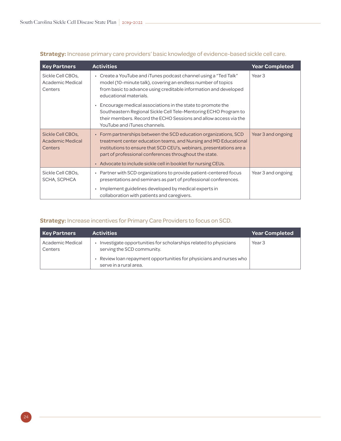| <b>Key Partners</b>                                     | <b>Activities</b>                                                                                                                                                                                                                                                                                                                        | <b>Year Completed</b> |
|---------------------------------------------------------|------------------------------------------------------------------------------------------------------------------------------------------------------------------------------------------------------------------------------------------------------------------------------------------------------------------------------------------|-----------------------|
| Sickle Cell CBOs,<br>Academic Medical<br>Centers        | Create a YouTube and iTunes podcast channel using a "Ted Talk"<br>model (10-minute talk), covering an endless number of topics<br>from basic to advance using creditable information and developed<br>educational materials.                                                                                                             | Year <sub>3</sub>     |
|                                                         | Encourage medical associations in the state to promote the<br>Southeastern Regional Sickle Cell Tele-Mentoring ECHO Program to<br>their members. Record the ECHO Sessions and allow access via the<br>YouTube and iTunes channels.                                                                                                       |                       |
| Sickle Cell CBOs,<br><b>Academic Medical</b><br>Centers | • Form partnerships between the SCD education organizations, SCD<br>treatment center education teams, and Nursing and MD Educational<br>institutions to ensure that SCD CEU's, webinars, presentations are a<br>part of professional conferences throughout the state.<br>• Advocate to include sickle cell in booklet for nursing CEUs. | Year 3 and ongoing    |
| Sickle Cell CBOs,<br>SCHA, SCPHCA                       | Partner with SCD organizations to provide patient-centered focus<br>$\bullet$<br>presentations and seminars as part of professional conferences.<br>Implement guidelines developed by medical experts in                                                                                                                                 | Year 3 and ongoing    |
|                                                         | collaboration with patients and caregivers.                                                                                                                                                                                                                                                                                              |                       |

#### **Strategy:** Increase primary care providers' basic knowledge of evidence-based sickle cell care.

#### **Strategy:** Increase incentives for Primary Care Providers to focus on SCD.

| <b>Key Partners</b>         | <b>Activities</b>                                                                              | <b>Year Completed</b> |
|-----------------------------|------------------------------------------------------------------------------------------------|-----------------------|
| Academic Medical<br>Centers | Investigate opportunities for scholarships related to physicians<br>serving the SCD community. | Year <sub>3</sub>     |
|                             | Review loan repayment opportunities for physicians and nurses who<br>serve in a rural area.    |                       |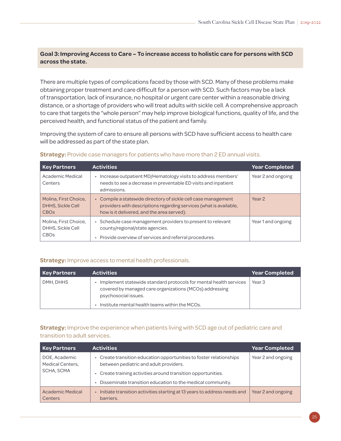#### **Goal 3:Improving Access to Care – To increase access to holistic care for persons with SCD across the state.**

There are multiple types of complications faced by those with SCD. Many of these problems make obtaining proper treatment and care difficult for a person with SCD. Such factors may be a lack of transportation, lack of insurance, no hospital or urgent care center within a reasonable driving distance, or a shortage of providers who will treat adults with sickle cell. A comprehensive approach to care that targets the "whole person" may help improve biological functions, quality of life, and the perceived health, and functional status of the patient and family.

Improving the system of care to ensure all persons with SCD have sufficient access to health care will be addressed as part of the state plan.

| <b>Key Partners</b>                                                  | <b>Activities</b>                                                                                                                                                                | <b>Year Completed</b> |
|----------------------------------------------------------------------|----------------------------------------------------------------------------------------------------------------------------------------------------------------------------------|-----------------------|
| Academic Medical<br>Centers                                          | Increase outpatient MD/Hematology visits to address members'<br>needs to see a decrease in preventable ED visits and inpatient<br>admissions.                                    | Year 2 and ongoing    |
| Molina, First Choice,<br>DHHS, Sickle Cell<br><b>CBO<sub>S</sub></b> | Compile a statewide directory of sickle cell case management<br>providers with descriptions regarding services (what is available,<br>how is it delivered, and the area served). | Year <sub>2</sub>     |
| Molina, First Choice,<br>DHHS, Sickle Cell<br><b>CBOs</b>            | Schedule case management providers to present to relevant<br>county/regional/state agencies.<br>Provide overview of services and referral procedures.                            | Year 1 and ongoing    |

#### **Strategy:** Provide case managers for patients who have more than 2 ED annual visits.

#### **Strategy:** Improve access to mental health professionals.

| <b>Key Partners</b> | <b>Activities</b>                                                                                                                                    | <b>Year Completed</b> |
|---------------------|------------------------------------------------------------------------------------------------------------------------------------------------------|-----------------------|
| DMH, DHHS           | Implement statewide standard protocols for mental health services<br>covered by managed care organizations (MCOs) addressing<br>psychosocial issues. | Year <sub>3</sub>     |
|                     | Institute mental health teams within the MCOs.                                                                                                       |                       |

#### **Strategy:** Improve the experience when patients living with SCD age out of pediatric care and transition to adult services.

| <b>Key Partners</b>                                    | <b>Activities</b>                                                                                           | <b>Year Completed</b> |
|--------------------------------------------------------|-------------------------------------------------------------------------------------------------------------|-----------------------|
| DOE, Academic<br><b>Medical Centers,</b><br>SCHA, SCMA | Create transition education opportunities to foster relationships<br>between pediatric and adult providers. | Year 2 and ongoing    |
|                                                        | Create training activities around transition opportunities.                                                 |                       |
|                                                        | Disseminate transition education to the medical community.                                                  |                       |
| Academic Medical<br>Centers                            | Initiate transition activities starting at 13 years to address needs and<br>barriers.                       | Year 2 and ongoing    |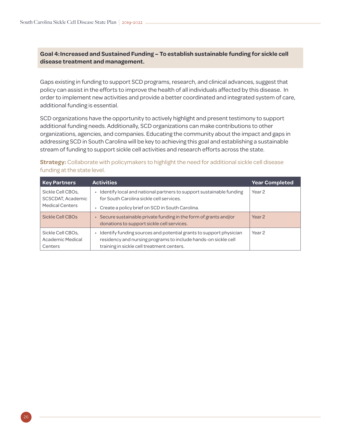#### **Goal 4:Increased and Sustained Funding – To establish sustainable funding for sickle cell disease treatment and management.**

Gaps existing in funding to support SCD programs, research, and clinical advances, suggest that policy can assist in the efforts to improve the health of all individuals affected by this disease. In order to implement new activities and provide a better coordinated and integrated system of care, additional funding is essential.

SCD organizations have the opportunity to actively highlight and present testimony to support additional funding needs. Additionally, SCD organizations can make contributions to other organizations, agencies, and companies. Educating the community about the impact and gaps in addressing SCD in South Carolina will be key to achieving this goal and establishing a sustainable stream of funding to support sickle cell activities and research efforts across the state.

#### **Strategy:** Collaborate with policymakers to highlight the need for additional sickle cell disease funding at the state level.

| <b>Key Partners</b>                              | <b>Activities</b>                                                                                                                                                                  | <b>Year Completed</b> |
|--------------------------------------------------|------------------------------------------------------------------------------------------------------------------------------------------------------------------------------------|-----------------------|
| Sickle Cell CBOs,<br>SCSCDAT, Academic           | Identify local and national partners to support sustainable funding<br>for South Carolina sickle cell services.                                                                    | Year <sub>2</sub>     |
| <b>Medical Centers</b>                           | Create a policy brief on SCD in South Carolina.                                                                                                                                    |                       |
| Sickle Cell CBOs                                 | Secure sustainable private funding in the form of grants and/or<br>donations to support sickle cell services.                                                                      | Year <sub>2</sub>     |
| Sickle Cell CBOs,<br>Academic Medical<br>Centers | Identify funding sources and potential grants to support physician<br>residency and nursing programs to include hands-on sickle cell<br>training in sickle cell treatment centers. | Year <sub>2</sub>     |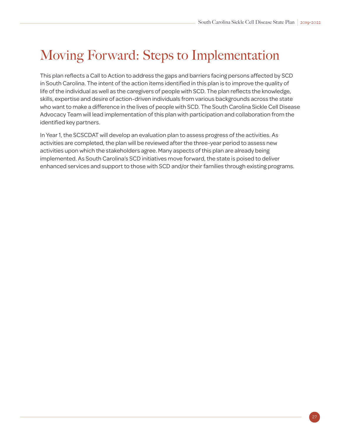# <span id="page-30-0"></span>Moving Forward: Steps to Implementation

This plan reflects a Call to Action to address the gaps and barriers facing persons affected by SCD in South Carolina. The intent of the action items identified in this plan is to improve the quality of life of the individual as well as the caregivers of people with SCD. The plan reflects the knowledge, skills, expertise and desire of action-driven individuals from various backgrounds across the state who want to make a difference in the lives of people with SCD. The South Carolina Sickle Cell Disease Advocacy Team will lead implementation of this plan with participation and collaboration from the identified key partners.

In Year 1, the SCSCDAT will develop an evaluation plan to assess progress of the activities. As activities are completed, the plan will be reviewed after the three-year period to assess new activities upon which the stakeholders agree. Many aspects of this plan are already being implemented. As South Carolina's SCD initiatives move forward, the state is poised to deliver enhanced services and support to those with SCD and/or their families through existing programs.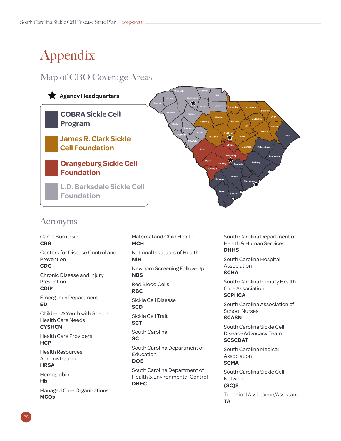# <span id="page-31-0"></span>Appendix

### Map of CBO Coverage Areas



### Acronyms

Camp Burnt Gin **CBG** Centers for Disease Control and Prevention **CDC** Chronic Disease and Injury Prevention **CDIP** Emergency Department **ED** Children & Youth with Special Health Care Needs **CYSHCN** Health Care Providers **HCP** Health Resources Administration **HRSA** Hemoglobin **Hb** Managed Care Organizations **MCOs**

Maternal and Child Health **MCH** National Institutes of Health **NIH** Newborn Screening Follow-Up **NBS** Red Blood Cells **RBC** Sickle Cell Disease **SCD** Sickle Cell Trait **SCT** South Carolina **SC** South Carolina Department of Education **DOE**

South Carolina Department of Health & Environmental Control **DHEC**

South Carolina Department of Health & Human Services **DHHS**

South Carolina Hospital Association **SCHA**

South Carolina Primary Health Care Association **SCPHCA**

South Carolina Association of School Nurses **SCASN**

South Carolina Sickle Cell Disease Advocacy Team **SCSCDAT**

South Carolina Medical Association **SCMA**

South Carolina Sickle Cell Network **(SC)2**

Technical Assistance/Assistant **TA**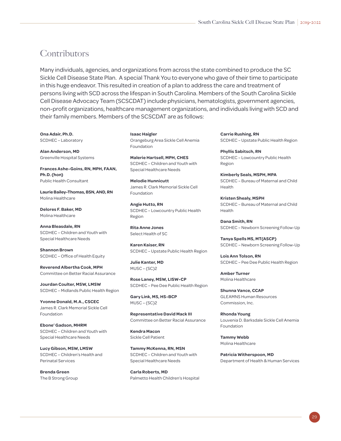### **Contributors**

Many individuals, agencies, and organizations from across the state combined to produce the SC Sickle Cell Disease State Plan. A special Thank You to everyone who gave of their time to participate in this huge endeavor. This resulted in creation of a plan to address the care and treatment of persons living with SCD across the lifespan in South Carolina. Members of the South Carolina Sickle Cell Disease Advocacy Team (SCSCDAT) include physicians, hematologists, government agencies, non-profit organizations, healthcare management organizations, and individuals living with SCD and their family members. Members of the SCSCDAT are as follows:

**Ona Adair, Ph.D.** SCDHEC – Laboratory

**Alan Anderson, MD** Greenville Hospital Systems

**Frances Ashe-Goins, RN, MPH, FAAN, Ph.D. (hon)** Public Health Consultant

**Laurie Bailey-Thomas, BSN, AND, RN** Molina Healthcare

**Delores F. Baker, MD** Molina Healthcare

**Anna Bleasdale, RN** SCDHEC – Children and Youth with Special Healthcare Needs

**Shannon Brown** SCDHEC – Office of Health Equity

**Reverend Albertha Cook, MPH** Committee on Better Racial Assurance

**Jourdan Coulter, MSW, LMSW** SCDHEC – Midlands Public Health Region

**Yvonne Donald, M.A., CSCEC**  James R. Clark Memorial Sickle Cell Foundation

**Ebone' Gadson, MHRM** SCDHEC – Children and Youth with Special Healthcare Needs

**Lucy Gibson, MSW, LMSW** SCDHEC – Children's Health and Perinatal Services

**Brenda Green** The B Strong Group **Isaac Haigler** Orangeburg Area Sickle Cell Anemia Foundation

**Malerie Hartsell, MPH, CHES** SCDHEC – Children and Youth with Special Healthcare Needs

**Melodie Hunnicutt** James R. Clark Memorial Sickle Cell Foundation

**Angie Hutto, RN** SCDHEC – Lowcountry Public Health Region

**Rita Anne Jones** Select Health of SC

**Karen Kaiser, RN** SCDHEC – Upstate Public Health Region

**Julie Kanter, MD** MUSC – (SC)2

**Rose Laney, MSW, LISW-CP** SCDHEC – Pee Dee Public Health Region

**Gary Link, MS, HS-BCP** MUSC – (SC)2

**Representative David Mack III** Committee on Better Racial Assurance

**Kendra Macon** Sickle Cell Patient

**Tammy McKenna, RN, MSN** SCDHEC – Children and Youth with Special Healthcare Needs

**Carla Roberts, MD** Palmetto Health Children's Hospital **Carrie Rushing, RN** SCDHEC – Upstate Public Health Region

**Phyllis Sabitsch, RN** SCDHEC – Lowcountry Public Health Region

**Kimberly Seals, MSPH, MPA** SCDHEC – Bureau of Maternal and Child Health

**Kristen Shealy, MSPH** SCDHEC – Bureau of Maternal and Child Health

**Dana Smith, RN** SCDHEC – Newborn Screening Follow-Up

**Tanya Spells MS, MT(ASCP)** SCDHEC – Newborn Screening Follow-Up

**Lois Ann Tolson, RN** SCDHEC – Pee Dee Public Health Region

**Amber Turner** Molina Healthcare

**Shunna Vance, CCAP** GLEAMNS Human Resources Commission, Inc.

**Rhonda Young** Louvenia D. Barksdale Sickle Cell Anemia Foundation

**Tammy Webb** Molina Healthcare

**Patricia Witherspoon, MD** Department of Health & Human Services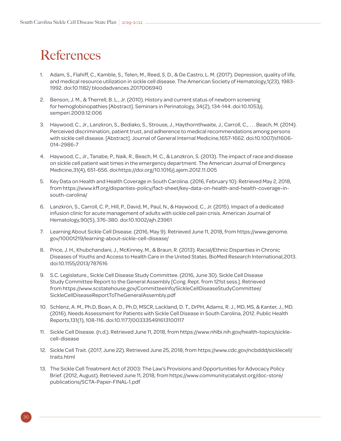# <span id="page-33-0"></span>**References**

- 1. Adam, S., Flahiff, C., Kamble, S., Telen, M., Reed, S. D., & De Castro, L. M. (2017). Depression, quality of life, and medical resource utilization in sickle cell disease. The American Society of Hematology,1(23), 1983- 1992. doi:10.1182/ bloodadvances.2017006940
- 2. Benson, J. M., & Therrell, B. L., Jr. (2010). History and current status of newborn screening for hemoglobinopathies [Abstract]. Seminars in Perinatology, 34(2), 134-144. doi:10.1053/j. semperi.2009.12.006
- 3. Haywood, C., Jr., Lanzkron, S., Bediako, S., Strouse, J., Haythornthwaite, J., Carroll, C., . . . Beach, M. (2014). Perceived discrimination, patient trust, and adherence to medical recommendations among persons with sickle cell disease. [Abstract]. Journal of General Internal Medicine,1657-1662. doi:10.1007/s11606- 014-2986-7
- 4. Haywood, C., Jr., Tanabe, P., Naik, R., Beach, M. C., & Lanzkron, S. (2013). The impact of race and disease on sickle cell patient wait times in the emergency department. The American Journal of Emergency Medicine,31(4), 651-656. doi:https://doi.org/10.1016/j.ajem.2012.11.005
- 5. Key Data on Health and Health Coverage in South Carolina. (2016, February 10). Retrieved May 2, 2018, from https://www.kff.org/disparities-policy/fact-sheet/key-data-on-health-and-health-coverage-insouth-carolina/
- 6. Lanzkron, S., Carroll, C. P., Hill, P., David, M., Paul, N., & Haywood, C., Jr. (2015). Impact of a dedicated infusion clinic for acute management of adults with sickle cell pain crisis. American Journal of Hematology,90(5), 376-380. doi:10.1002/ajh.23961
- 7. Learning About Sickle Cell Disease. (2016, May 9). Retrieved June 11, 2018, from https://www.genome. gov/10001219/learning-about-sickle-cell-disease/
- 8. Price, J. H., Khubchandani, J., McKinney, M., & Braun, R. (2013). Racial/Ethnic Disparities in Chronic Diseases of Youths and Access to Health Care in the United States. BioMed Research International,2013. doi:10.1155/2013/787616
- 9. S.C. Legislature., Sickle Cell Disease Study Committee. (2016, June 30). Sickle Cell Disease Study Committee Report to the General Assembly [Cong. Rept. from 121st sess.]. Retrieved from https://www.scstatehouse.gov/CommitteeInfo/SickleCellDiseaseStudyCommittee/ SickleCellDiseaseReportToTheGeneralAssembly.pdf
- 10. Schlenz, A. M., Ph.D, Boan, A. D., Ph.D, MSCR, Lackland, D. T., DrPH, Adams, R. J., MD, MS, & Kanter, J., MD. (2016). Needs Assessment for Patients with Sickle Cell Disease in South Carolina, 2012. Public Health Reports,131(1), 108-116. doi:10.1177/003335491613100117
- 11. Sickle Cell Disease. (n.d.). Retrieved June 11, 2018, from https://www.nhlbi.nih.gov/health-topics/sicklecell-disease
- 12. Sickle Cell Trait. (2017, June 22). Retrieved June 25, 2018, from https://www.cdc.gov/ncbddd/sicklecell/ traits.html
- 13. The Sickle Cell Treatment Act of 2003: The Law's Provisions and Opportunities for Advocacy Policy Brief. (2012, August). Retrieved June 11, 2018, from https://www.communitycatalyst.org/doc-store/ publications/SCTA-Paper-FINAL-1.pdf